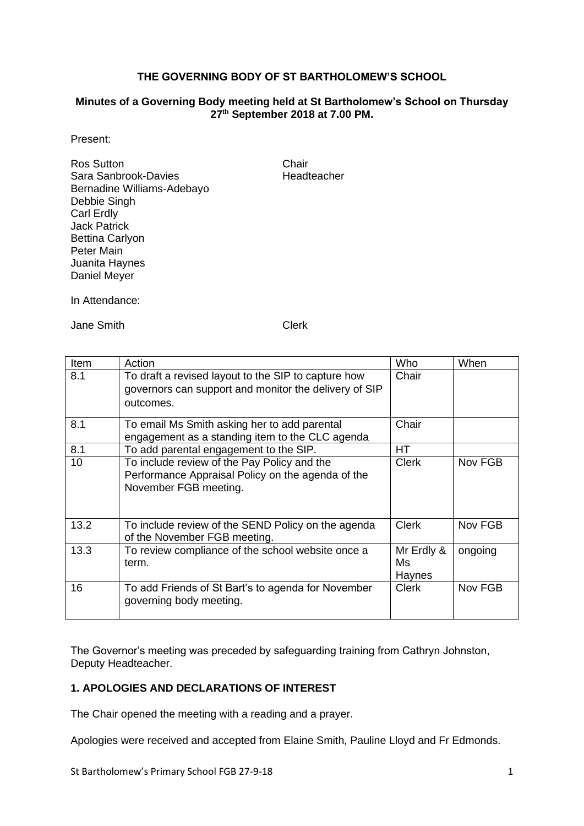### **THE GOVERNING BODY OF ST BARTHOLOMEW'S SCHOOL**

#### **Minutes of a Governing Body meeting held at St Bartholomew's School on Thursday 27th September 2018 at 7.00 PM.**

Present:

Ros Sutton **Chair** Sara Sanbrook-Davies **Headteacher** Bernadine Williams-Adebayo Debbie Singh Carl Erdly Jack Patrick Bettina Carlyon Peter Main Juanita Haynes Daniel Meyer

In Attendance:

Jane Smith Clerk

| Item | Action                                                                                                                    | Who                        | When    |
|------|---------------------------------------------------------------------------------------------------------------------------|----------------------------|---------|
| 8.1  | To draft a revised layout to the SIP to capture how<br>governors can support and monitor the delivery of SIP<br>outcomes. | Chair                      |         |
| 8.1  | To email Ms Smith asking her to add parental<br>engagement as a standing item to the CLC agenda                           | Chair                      |         |
| 8.1  | To add parental engagement to the SIP.                                                                                    | <b>HT</b>                  |         |
| 10   | To include review of the Pay Policy and the<br>Performance Appraisal Policy on the agenda of the<br>November FGB meeting. | Clerk                      | Nov FGB |
| 13.2 | To include review of the SEND Policy on the agenda<br>of the November FGB meeting.                                        | <b>Clerk</b>               | Nov FGB |
| 13.3 | To review compliance of the school website once a<br>term.                                                                | Mr Erdly &<br>Ms<br>Haynes | ongoing |
| 16   | To add Friends of St Bart's to agenda for November<br>governing body meeting.                                             | <b>Clerk</b>               | Nov FGB |

The Governor's meeting was preceded by safeguarding training from Cathryn Johnston, Deputy Headteacher.

### **1. APOLOGIES AND DECLARATIONS OF INTEREST**

The Chair opened the meeting with a reading and a prayer.

Apologies were received and accepted from Elaine Smith, Pauline Lloyd and Fr Edmonds.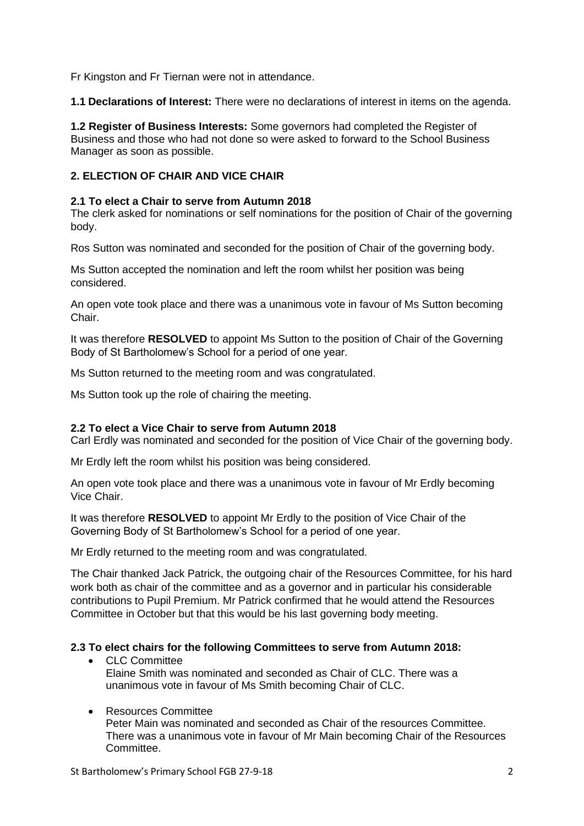Fr Kingston and Fr Tiernan were not in attendance.

**1.1 Declarations of Interest:** There were no declarations of interest in items on the agenda.

**1.2 Register of Business Interests:** Some governors had completed the Register of Business and those who had not done so were asked to forward to the School Business Manager as soon as possible.

### **2. ELECTION OF CHAIR AND VICE CHAIR**

#### **2.1 To elect a Chair to serve from Autumn 2018**

The clerk asked for nominations or self nominations for the position of Chair of the governing body.

Ros Sutton was nominated and seconded for the position of Chair of the governing body.

Ms Sutton accepted the nomination and left the room whilst her position was being considered.

An open vote took place and there was a unanimous vote in favour of Ms Sutton becoming Chair.

It was therefore **RESOLVED** to appoint Ms Sutton to the position of Chair of the Governing Body of St Bartholomew's School for a period of one year.

Ms Sutton returned to the meeting room and was congratulated.

Ms Sutton took up the role of chairing the meeting.

#### **2.2 To elect a Vice Chair to serve from Autumn 2018**

Carl Erdly was nominated and seconded for the position of Vice Chair of the governing body.

Mr Erdly left the room whilst his position was being considered.

An open vote took place and there was a unanimous vote in favour of Mr Erdly becoming Vice Chair.

It was therefore **RESOLVED** to appoint Mr Erdly to the position of Vice Chair of the Governing Body of St Bartholomew's School for a period of one year.

Mr Erdly returned to the meeting room and was congratulated.

The Chair thanked Jack Patrick, the outgoing chair of the Resources Committee, for his hard work both as chair of the committee and as a governor and in particular his considerable contributions to Pupil Premium. Mr Patrick confirmed that he would attend the Resources Committee in October but that this would be his last governing body meeting.

#### **2.3 To elect chairs for the following Committees to serve from Autumn 2018:**

- CLC Committee Elaine Smith was nominated and seconded as Chair of CLC. There was a unanimous vote in favour of Ms Smith becoming Chair of CLC.
- Resources Committee

Peter Main was nominated and seconded as Chair of the resources Committee. There was a unanimous vote in favour of Mr Main becoming Chair of the Resources **Committee.**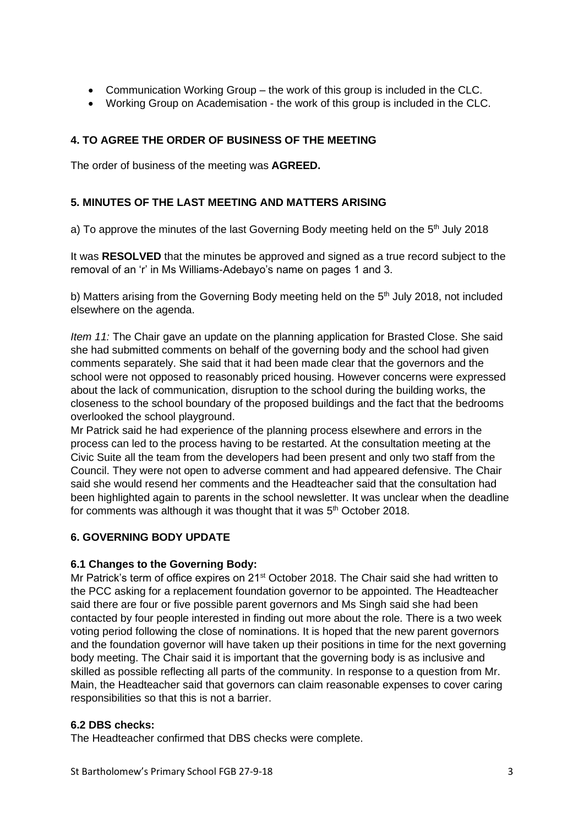- Communication Working Group the work of this group is included in the CLC.
- Working Group on Academisation the work of this group is included in the CLC.

# **4. TO AGREE THE ORDER OF BUSINESS OF THE MEETING**

The order of business of the meeting was **AGREED.**

### **5. MINUTES OF THE LAST MEETING AND MATTERS ARISING**

a) To approve the minutes of the last Governing Body meeting held on the 5<sup>th</sup> July 2018

It was **RESOLVED** that the minutes be approved and signed as a true record subject to the removal of an 'r' in Ms Williams-Adebayo's name on pages 1 and 3.

b) Matters arising from the Governing Body meeting held on the 5<sup>th</sup> July 2018, not included elsewhere on the agenda.

*Item 11:* The Chair gave an update on the planning application for Brasted Close. She said she had submitted comments on behalf of the governing body and the school had given comments separately. She said that it had been made clear that the governors and the school were not opposed to reasonably priced housing. However concerns were expressed about the lack of communication, disruption to the school during the building works, the closeness to the school boundary of the proposed buildings and the fact that the bedrooms overlooked the school playground.

Mr Patrick said he had experience of the planning process elsewhere and errors in the process can led to the process having to be restarted. At the consultation meeting at the Civic Suite all the team from the developers had been present and only two staff from the Council. They were not open to adverse comment and had appeared defensive. The Chair said she would resend her comments and the Headteacher said that the consultation had been highlighted again to parents in the school newsletter. It was unclear when the deadline for comments was although it was thought that it was 5<sup>th</sup> October 2018.

# **6. GOVERNING BODY UPDATE**

### **6.1 Changes to the Governing Body:**

Mr Patrick's term of office expires on 21<sup>st</sup> October 2018. The Chair said she had written to the PCC asking for a replacement foundation governor to be appointed. The Headteacher said there are four or five possible parent governors and Ms Singh said she had been contacted by four people interested in finding out more about the role. There is a two week voting period following the close of nominations. It is hoped that the new parent governors and the foundation governor will have taken up their positions in time for the next governing body meeting. The Chair said it is important that the governing body is as inclusive and skilled as possible reflecting all parts of the community. In response to a question from Mr. Main, the Headteacher said that governors can claim reasonable expenses to cover caring responsibilities so that this is not a barrier.

### **6.2 DBS checks:**

The Headteacher confirmed that DBS checks were complete.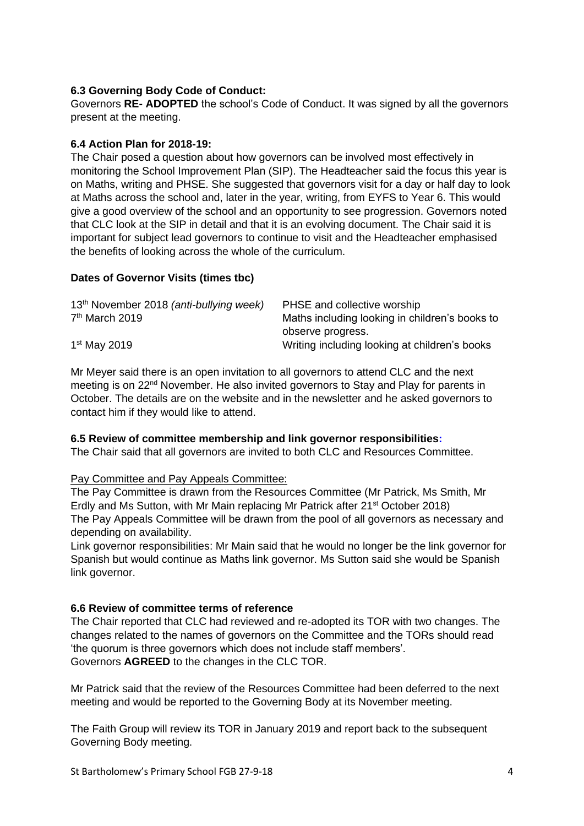# **6.3 Governing Body Code of Conduct:**

Governors **RE- ADOPTED** the school's Code of Conduct. It was signed by all the governors present at the meeting.

### **6.4 Action Plan for 2018-19:**

The Chair posed a question about how governors can be involved most effectively in monitoring the School Improvement Plan (SIP). The Headteacher said the focus this year is on Maths, writing and PHSE. She suggested that governors visit for a day or half day to look at Maths across the school and, later in the year, writing, from EYFS to Year 6. This would give a good overview of the school and an opportunity to see progression. Governors noted that CLC look at the SIP in detail and that it is an evolving document. The Chair said it is important for subject lead governors to continue to visit and the Headteacher emphasised the benefits of looking across the whole of the curriculum.

### **Dates of Governor Visits (times tbc)**

| 13 <sup>th</sup> November 2018 (anti-bullying week) | PHSE and collective worship                    |
|-----------------------------------------------------|------------------------------------------------|
| $7th$ March 2019                                    | Maths including looking in children's books to |
|                                                     | observe progress.                              |
| $1st$ May 2019                                      | Writing including looking at children's books  |

Mr Meyer said there is an open invitation to all governors to attend CLC and the next meeting is on 22<sup>nd</sup> November. He also invited governors to Stay and Play for parents in October. The details are on the website and in the newsletter and he asked governors to contact him if they would like to attend.

### **6.5 Review of committee membership and link governor responsibilities:**

The Chair said that all governors are invited to both CLC and Resources Committee.

### Pay Committee and Pay Appeals Committee:

The Pay Committee is drawn from the Resources Committee (Mr Patrick, Ms Smith, Mr Erdly and Ms Sutton, with Mr Main replacing Mr Patrick after 21st October 2018) The Pay Appeals Committee will be drawn from the pool of all governors as necessary and depending on availability.

Link governor responsibilities: Mr Main said that he would no longer be the link governor for Spanish but would continue as Maths link governor. Ms Sutton said she would be Spanish link governor.

### **6.6 Review of committee terms of reference**

The Chair reported that CLC had reviewed and re-adopted its TOR with two changes. The changes related to the names of governors on the Committee and the TORs should read 'the quorum is three governors which does not include staff members'. Governors **AGREED** to the changes in the CLC TOR.

Mr Patrick said that the review of the Resources Committee had been deferred to the next meeting and would be reported to the Governing Body at its November meeting.

The Faith Group will review its TOR in January 2019 and report back to the subsequent Governing Body meeting.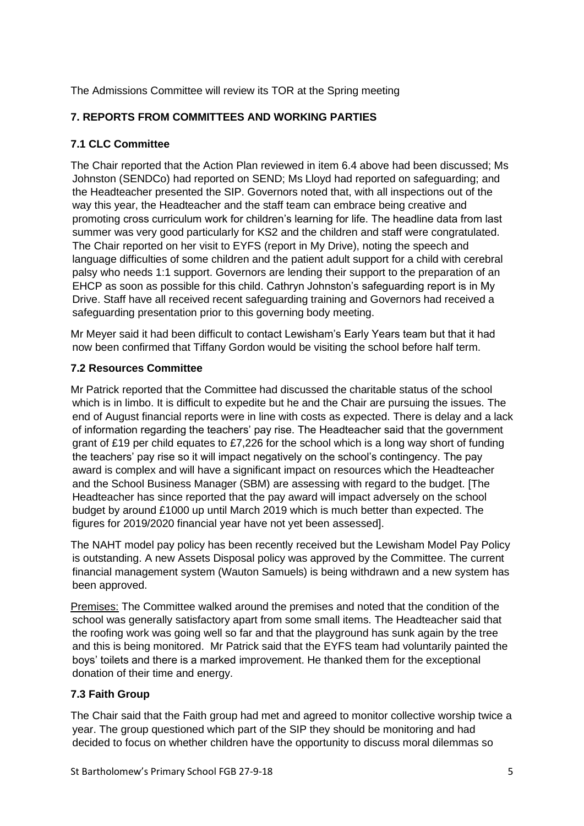The Admissions Committee will review its TOR at the Spring meeting

# **7. REPORTS FROM COMMITTEES AND WORKING PARTIES**

# **7.1 CLC Committee**

The Chair reported that the Action Plan reviewed in item 6.4 above had been discussed; Ms Johnston (SENDCo) had reported on SEND; Ms Lloyd had reported on safeguarding; and the Headteacher presented the SIP. Governors noted that, with all inspections out of the way this year, the Headteacher and the staff team can embrace being creative and promoting cross curriculum work for children's learning for life. The headline data from last summer was very good particularly for KS2 and the children and staff were congratulated. The Chair reported on her visit to EYFS (report in My Drive), noting the speech and language difficulties of some children and the patient adult support for a child with cerebral palsy who needs 1:1 support. Governors are lending their support to the preparation of an EHCP as soon as possible for this child. Cathryn Johnston's safeguarding report is in My Drive. Staff have all received recent safeguarding training and Governors had received a safeguarding presentation prior to this governing body meeting.

Mr Meyer said it had been difficult to contact Lewisham's Early Years team but that it had now been confirmed that Tiffany Gordon would be visiting the school before half term.

# **7.2 Resources Committee**

Mr Patrick reported that the Committee had discussed the charitable status of the school which is in limbo. It is difficult to expedite but he and the Chair are pursuing the issues. The end of August financial reports were in line with costs as expected. There is delay and a lack of information regarding the teachers' pay rise. The Headteacher said that the government grant of £19 per child equates to £7,226 for the school which is a long way short of funding the teachers' pay rise so it will impact negatively on the school's contingency. The pay award is complex and will have a significant impact on resources which the Headteacher and the School Business Manager (SBM) are assessing with regard to the budget. [The Headteacher has since reported that the pay award will impact adversely on the school budget by around £1000 up until March 2019 which is much better than expected. The figures for 2019/2020 financial year have not yet been assessed].

The NAHT model pay policy has been recently received but the Lewisham Model Pay Policy is outstanding. A new Assets Disposal policy was approved by the Committee. The current financial management system (Wauton Samuels) is being withdrawn and a new system has been approved.

Premises: The Committee walked around the premises and noted that the condition of the school was generally satisfactory apart from some small items. The Headteacher said that the roofing work was going well so far and that the playground has sunk again by the tree and this is being monitored. Mr Patrick said that the EYFS team had voluntarily painted the boys' toilets and there is a marked improvement. He thanked them for the exceptional donation of their time and energy.

# **7.3 Faith Group**

The Chair said that the Faith group had met and agreed to monitor collective worship twice a year. The group questioned which part of the SIP they should be monitoring and had decided to focus on whether children have the opportunity to discuss moral dilemmas so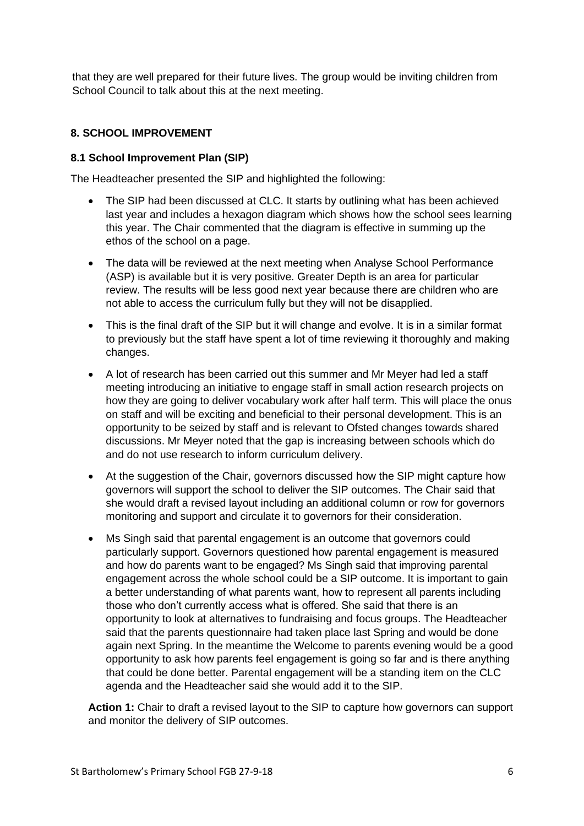that they are well prepared for their future lives. The group would be inviting children from School Council to talk about this at the next meeting.

### **8. SCHOOL IMPROVEMENT**

### **8.1 School Improvement Plan (SIP)**

The Headteacher presented the SIP and highlighted the following:

- The SIP had been discussed at CLC. It starts by outlining what has been achieved last year and includes a hexagon diagram which shows how the school sees learning this year. The Chair commented that the diagram is effective in summing up the ethos of the school on a page.
- The data will be reviewed at the next meeting when Analyse School Performance (ASP) is available but it is very positive. Greater Depth is an area for particular review. The results will be less good next year because there are children who are not able to access the curriculum fully but they will not be disapplied.
- This is the final draft of the SIP but it will change and evolve. It is in a similar format to previously but the staff have spent a lot of time reviewing it thoroughly and making changes.
- A lot of research has been carried out this summer and Mr Meyer had led a staff meeting introducing an initiative to engage staff in small action research projects on how they are going to deliver vocabulary work after half term. This will place the onus on staff and will be exciting and beneficial to their personal development. This is an opportunity to be seized by staff and is relevant to Ofsted changes towards shared discussions. Mr Meyer noted that the gap is increasing between schools which do and do not use research to inform curriculum delivery.
- At the suggestion of the Chair, governors discussed how the SIP might capture how governors will support the school to deliver the SIP outcomes. The Chair said that she would draft a revised layout including an additional column or row for governors monitoring and support and circulate it to governors for their consideration.
- Ms Singh said that parental engagement is an outcome that governors could particularly support. Governors questioned how parental engagement is measured and how do parents want to be engaged? Ms Singh said that improving parental engagement across the whole school could be a SIP outcome. It is important to gain a better understanding of what parents want, how to represent all parents including those who don't currently access what is offered. She said that there is an opportunity to look at alternatives to fundraising and focus groups. The Headteacher said that the parents questionnaire had taken place last Spring and would be done again next Spring. In the meantime the Welcome to parents evening would be a good opportunity to ask how parents feel engagement is going so far and is there anything that could be done better. Parental engagement will be a standing item on the CLC agenda and the Headteacher said she would add it to the SIP.

**Action 1:** Chair to draft a revised layout to the SIP to capture how governors can support and monitor the delivery of SIP outcomes.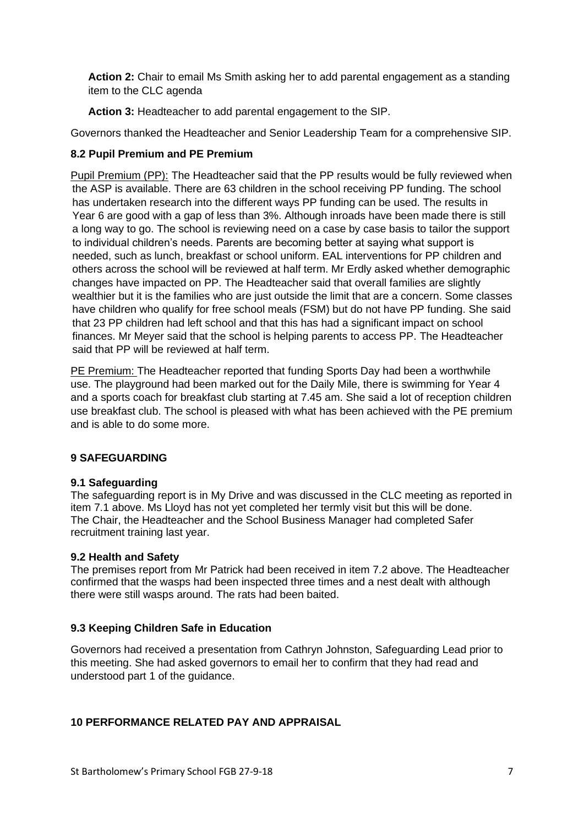**Action 2:** Chair to email Ms Smith asking her to add parental engagement as a standing item to the CLC agenda

**Action 3:** Headteacher to add parental engagement to the SIP.

Governors thanked the Headteacher and Senior Leadership Team for a comprehensive SIP.

### **8.2 Pupil Premium and PE Premium**

Pupil Premium (PP): The Headteacher said that the PP results would be fully reviewed when the ASP is available. There are 63 children in the school receiving PP funding. The school has undertaken research into the different ways PP funding can be used. The results in Year 6 are good with a gap of less than 3%. Although inroads have been made there is still a long way to go. The school is reviewing need on a case by case basis to tailor the support to individual children's needs. Parents are becoming better at saying what support is needed, such as lunch, breakfast or school uniform. EAL interventions for PP children and others across the school will be reviewed at half term. Mr Erdly asked whether demographic changes have impacted on PP. The Headteacher said that overall families are slightly wealthier but it is the families who are just outside the limit that are a concern. Some classes have children who qualify for free school meals (FSM) but do not have PP funding. She said that 23 PP children had left school and that this has had a significant impact on school finances. Mr Meyer said that the school is helping parents to access PP. The Headteacher said that PP will be reviewed at half term.

PE Premium: The Headteacher reported that funding Sports Day had been a worthwhile use. The playground had been marked out for the Daily Mile, there is swimming for Year 4 and a sports coach for breakfast club starting at 7.45 am. She said a lot of reception children use breakfast club. The school is pleased with what has been achieved with the PE premium and is able to do some more.

# **9 SAFEGUARDING**

### **9.1 Safeguarding**

The safeguarding report is in My Drive and was discussed in the CLC meeting as reported in item 7.1 above. Ms Lloyd has not yet completed her termly visit but this will be done. The Chair, the Headteacher and the School Business Manager had completed Safer recruitment training last year.

### **9.2 Health and Safety**

The premises report from Mr Patrick had been received in item 7.2 above. The Headteacher confirmed that the wasps had been inspected three times and a nest dealt with although there were still wasps around. The rats had been baited.

# **9.3 Keeping Children Safe in Education**

Governors had received a presentation from Cathryn Johnston, Safeguarding Lead prior to this meeting. She had asked governors to email her to confirm that they had read and understood part 1 of the guidance.

# **10 PERFORMANCE RELATED PAY AND APPRAISAL**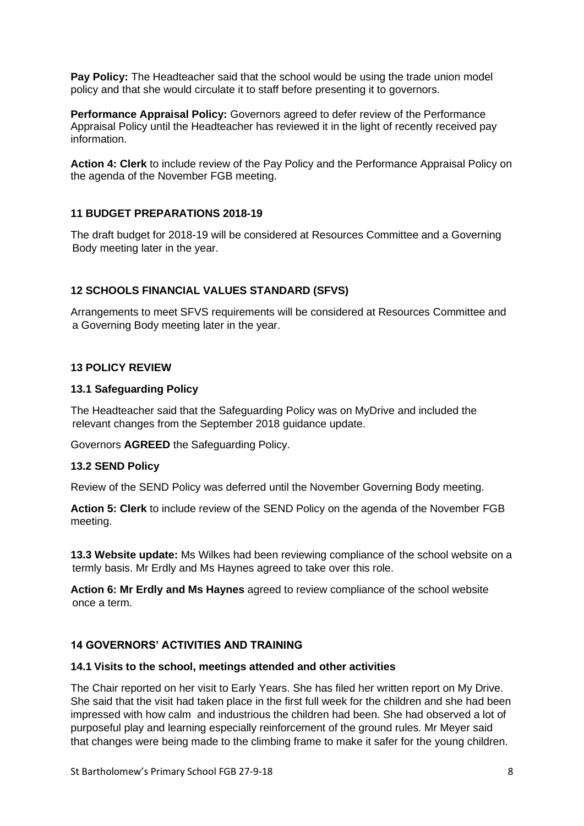**Pay Policy:** The Headteacher said that the school would be using the trade union model policy and that she would circulate it to staff before presenting it to governors.

**Performance Appraisal Policy:** Governors agreed to defer review of the Performance Appraisal Policy until the Headteacher has reviewed it in the light of recently received pay information.

**Action 4: Clerk** to include review of the Pay Policy and the Performance Appraisal Policy on the agenda of the November FGB meeting.

### **11 BUDGET PREPARATIONS 2018-19**

The draft budget for 2018-19 will be considered at Resources Committee and a Governing Body meeting later in the year.

### **12 SCHOOLS FINANCIAL VALUES STANDARD (SFVS)**

Arrangements to meet SFVS requirements will be considered at Resources Committee and a Governing Body meeting later in the year.

### **13 POLICY REVIEW**

#### **13.1 Safeguarding Policy**

The Headteacher said that the Safeguarding Policy was on MyDrive and included the relevant changes from the September 2018 guidance update.

Governors **AGREED** the Safeguarding Policy.

### **13.2 SEND Policy**

Review of the SEND Policy was deferred until the November Governing Body meeting.

**Action 5: Clerk** to include review of the SEND Policy on the agenda of the November FGB meeting.

**13.3 Website update:** Ms Wilkes had been reviewing compliance of the school website on a termly basis. Mr Erdly and Ms Haynes agreed to take over this role.

**Action 6: Mr Erdly and Ms Haynes** agreed to review compliance of the school website once a term.

### **14 GOVERNORS' ACTIVITIES AND TRAINING**

#### **14.1 Visits to the school, meetings attended and other activities**

The Chair reported on her visit to Early Years. She has filed her written report on My Drive. She said that the visit had taken place in the first full week for the children and she had been impressed with how calm and industrious the children had been. She had observed a lot of purposeful play and learning especially reinforcement of the ground rules. Mr Meyer said that changes were being made to the climbing frame to make it safer for the young children.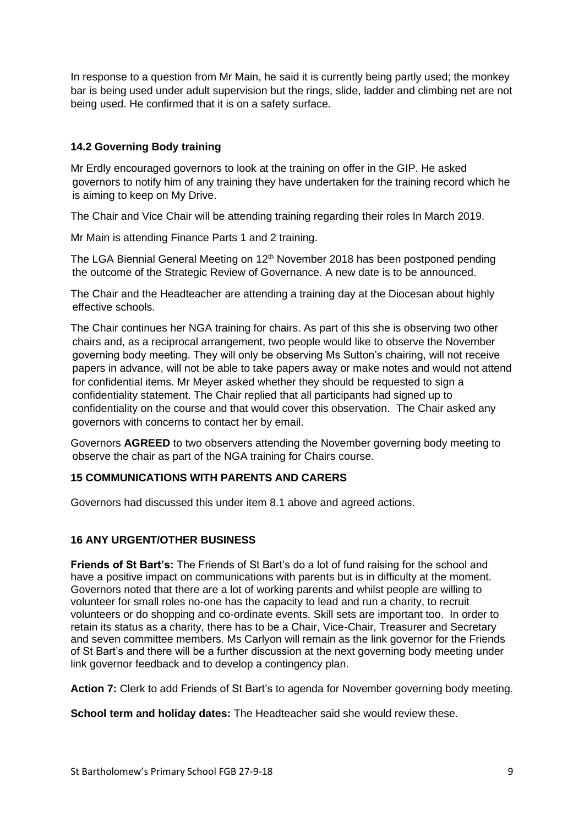In response to a question from Mr Main, he said it is currently being partly used; the monkey bar is being used under adult supervision but the rings, slide, ladder and climbing net are not being used. He confirmed that it is on a safety surface.

# **14.2 Governing Body training**

Mr Erdly encouraged governors to look at the training on offer in the GIP. He asked governors to notify him of any training they have undertaken for the training record which he is aiming to keep on My Drive.

The Chair and Vice Chair will be attending training regarding their roles In March 2019.

Mr Main is attending Finance Parts 1 and 2 training.

The LGA Biennial General Meeting on  $12<sup>th</sup>$  November 2018 has been postponed pending the outcome of the Strategic Review of Governance. A new date is to be announced.

The Chair and the Headteacher are attending a training day at the Diocesan about highly effective schools.

The Chair continues her NGA training for chairs. As part of this she is observing two other chairs and, as a reciprocal arrangement, two people would like to observe the November governing body meeting. They will only be observing Ms Sutton's chairing, will not receive papers in advance, will not be able to take papers away or make notes and would not attend for confidential items. Mr Meyer asked whether they should be requested to sign a confidentiality statement. The Chair replied that all participants had signed up to confidentiality on the course and that would cover this observation. The Chair asked any governors with concerns to contact her by email.

Governors **AGREED** to two observers attending the November governing body meeting to observe the chair as part of the NGA training for Chairs course.

### **15 COMMUNICATIONS WITH PARENTS AND CARERS**

Governors had discussed this under item 8.1 above and agreed actions.

# **16 ANY URGENT/OTHER BUSINESS**

**Friends of St Bart's:** The Friends of St Bart's do a lot of fund raising for the school and have a positive impact on communications with parents but is in difficulty at the moment. Governors noted that there are a lot of working parents and whilst people are willing to volunteer for small roles no-one has the capacity to lead and run a charity, to recruit volunteers or do shopping and co-ordinate events. Skill sets are important too. In order to retain its status as a charity, there has to be a Chair, Vice-Chair, Treasurer and Secretary and seven committee members. Ms Carlyon will remain as the link governor for the Friends of St Bart's and there will be a further discussion at the next governing body meeting under link governor feedback and to develop a contingency plan.

**Action 7:** Clerk to add Friends of St Bart's to agenda for November governing body meeting.

**School term and holiday dates:** The Headteacher said she would review these.